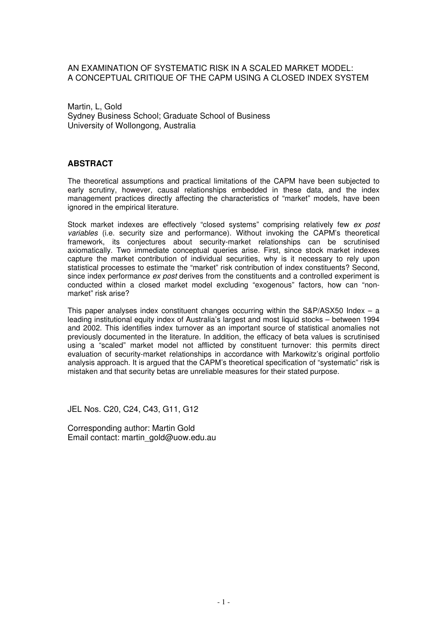# AN EXAMINATION OF SYSTEMATIC RISK IN A SCALED MARKET MODEL: A CONCEPTUAL CRITIQUE OF THE CAPM USING A CLOSED INDEX SYSTEM

Martin, L, Gold Sydney Business School; Graduate School of Business University of Wollongong, Australia

# **ABSTRACT**

The theoretical assumptions and practical limitations of the CAPM have been subjected to early scrutiny, however, causal relationships embedded in these data, and the index management practices directly affecting the characteristics of "market" models, have been ignored in the empirical literature.

Stock market indexes are effectively "closed systems" comprising relatively few ex post variables (i.e. security size and performance). Without invoking the CAPM's theoretical framework, its conjectures about security-market relationships can be scrutinised axiomatically. Two immediate conceptual queries arise. First, since stock market indexes capture the market contribution of individual securities, why is it necessary to rely upon statistical processes to estimate the "market" risk contribution of index constituents? Second, since index performance *ex post* derives from the constituents and a controlled experiment is conducted within a closed market model excluding "exogenous" factors, how can "nonmarket" risk arise?

This paper analyses index constituent changes occurring within the  $S\&P/ASX50$  Index – a leading institutional equity index of Australia's largest and most liquid stocks – between 1994 and 2002. This identifies index turnover as an important source of statistical anomalies not previously documented in the literature. In addition, the efficacy of beta values is scrutinised using a "scaled" market model not afflicted by constituent turnover: this permits direct evaluation of security-market relationships in accordance with Markowitz's original portfolio analysis approach. It is argued that the CAPM's theoretical specification of "systematic" risk is mistaken and that security betas are unreliable measures for their stated purpose.

JEL Nos. C20, C24, C43, G11, G12

Corresponding author: Martin Gold Email contact: martin\_gold@uow.edu.au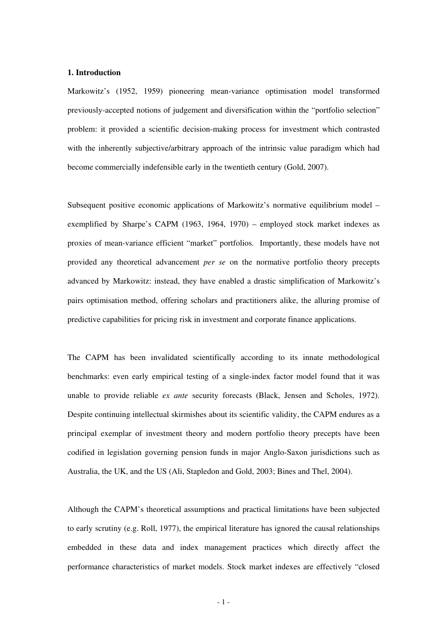## **1. Introduction**

Markowitz's (1952, 1959) pioneering mean-variance optimisation model transformed previously-accepted notions of judgement and diversification within the "portfolio selection" problem: it provided a scientific decision-making process for investment which contrasted with the inherently subjective/arbitrary approach of the intrinsic value paradigm which had become commercially indefensible early in the twentieth century (Gold, 2007).

Subsequent positive economic applications of Markowitz's normative equilibrium model – exemplified by Sharpe's CAPM (1963, 1964, 1970) – employed stock market indexes as proxies of mean-variance efficient "market" portfolios. Importantly, these models have not provided any theoretical advancement *per se* on the normative portfolio theory precepts advanced by Markowitz: instead, they have enabled a drastic simplification of Markowitz's pairs optimisation method, offering scholars and practitioners alike, the alluring promise of predictive capabilities for pricing risk in investment and corporate finance applications.

The CAPM has been invalidated scientifically according to its innate methodological benchmarks: even early empirical testing of a single-index factor model found that it was unable to provide reliable *ex ante* security forecasts (Black, Jensen and Scholes, 1972). Despite continuing intellectual skirmishes about its scientific validity, the CAPM endures as a principal exemplar of investment theory and modern portfolio theory precepts have been codified in legislation governing pension funds in major Anglo-Saxon jurisdictions such as Australia, the UK, and the US (Ali, Stapledon and Gold, 2003; Bines and Thel, 2004).

Although the CAPM's theoretical assumptions and practical limitations have been subjected to early scrutiny (e.g. Roll, 1977), the empirical literature has ignored the causal relationships embedded in these data and index management practices which directly affect the performance characteristics of market models. Stock market indexes are effectively "closed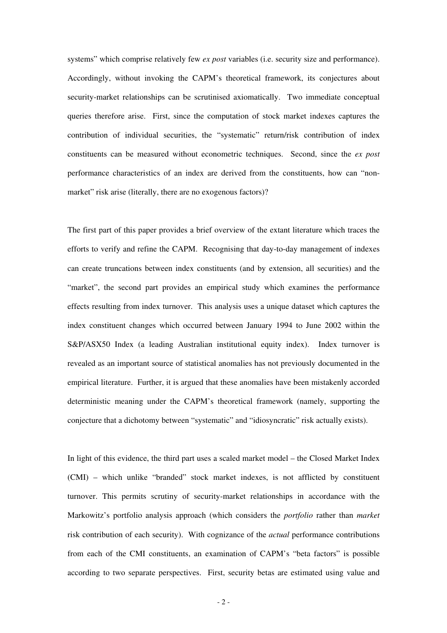systems" which comprise relatively few *ex post* variables (i.e. security size and performance). Accordingly, without invoking the CAPM's theoretical framework, its conjectures about security-market relationships can be scrutinised axiomatically. Two immediate conceptual queries therefore arise. First, since the computation of stock market indexes captures the contribution of individual securities, the "systematic" return/risk contribution of index constituents can be measured without econometric techniques. Second, since the *ex post*  performance characteristics of an index are derived from the constituents, how can "nonmarket" risk arise (literally, there are no exogenous factors)?

The first part of this paper provides a brief overview of the extant literature which traces the efforts to verify and refine the CAPM. Recognising that day-to-day management of indexes can create truncations between index constituents (and by extension, all securities) and the "market", the second part provides an empirical study which examines the performance effects resulting from index turnover. This analysis uses a unique dataset which captures the index constituent changes which occurred between January 1994 to June 2002 within the S&P/ASX50 Index (a leading Australian institutional equity index). Index turnover is revealed as an important source of statistical anomalies has not previously documented in the empirical literature. Further, it is argued that these anomalies have been mistakenly accorded deterministic meaning under the CAPM's theoretical framework (namely, supporting the conjecture that a dichotomy between "systematic" and "idiosyncratic" risk actually exists).

In light of this evidence, the third part uses a scaled market model – the Closed Market Index (CMI) – which unlike "branded" stock market indexes, is not afflicted by constituent turnover. This permits scrutiny of security-market relationships in accordance with the Markowitz's portfolio analysis approach (which considers the *portfolio* rather than *market*  risk contribution of each security). With cognizance of the *actual* performance contributions from each of the CMI constituents, an examination of CAPM's "beta factors" is possible according to two separate perspectives. First, security betas are estimated using value and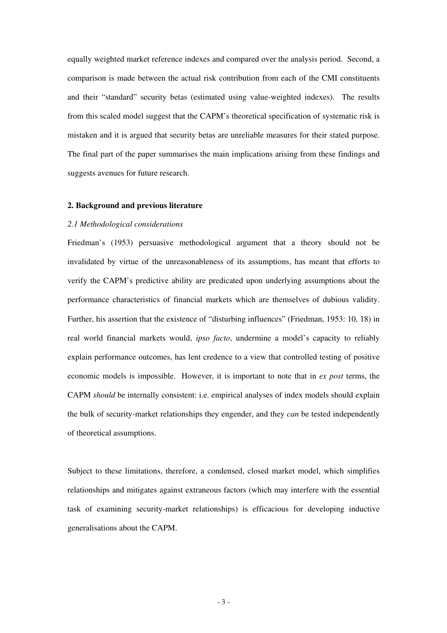equally weighted market reference indexes and compared over the analysis period. Second, a comparison is made between the actual risk contribution from each of the CMI constituents and their "standard" security betas (estimated using value-weighted indexes). The results from this scaled model suggest that the CAPM's theoretical specification of systematic risk is mistaken and it is argued that security betas are unreliable measures for their stated purpose. The final part of the paper summarises the main implications arising from these findings and suggests avenues for future research.

#### **2. Background and previous literature**

#### *2.1 Methodological considerations*

Friedman's (1953) persuasive methodological argument that a theory should not be invalidated by virtue of the unreasonableness of its assumptions, has meant that efforts to verify the CAPM's predictive ability are predicated upon underlying assumptions about the performance characteristics of financial markets which are themselves of dubious validity. Further, his assertion that the existence of "disturbing influences" (Friedman, 1953: 10, 18) in real world financial markets would, *ipso facto*, undermine a model's capacity to reliably explain performance outcomes, has lent credence to a view that controlled testing of positive economic models is impossible. However, it is important to note that in *ex post* terms, the CAPM *should* be internally consistent: i.e. empirical analyses of index models should explain the bulk of security-market relationships they engender, and they *can* be tested independently of theoretical assumptions.

Subject to these limitations, therefore, a condensed, closed market model, which simplifies relationships and mitigates against extraneous factors (which may interfere with the essential task of examining security-market relationships) is efficacious for developing inductive generalisations about the CAPM.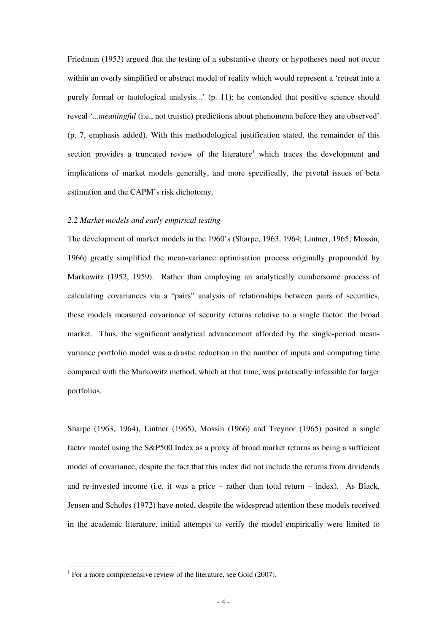Friedman (1953) argued that the testing of a substantive theory or hypotheses need not occur within an overly simplified or abstract model of reality which would represent a 'retreat into a purely formal or tautological analysis...' (p. 11): he contended that positive science should reveal '...*meaningful* (i.e., not truistic) predictions about phenomena before they are observed' (p. 7, emphasis added). With this methodological justification stated, the remainder of this section provides a truncated review of the literature<sup>1</sup> which traces the development and implications of market models generally, and more specifically, the pivotal issues of beta estimation and the CAPM's risk dichotomy.

## *2.2 Market models and early empirical testing*

The development of market models in the 1960's (Sharpe, 1963, 1964; Lintner, 1965; Mossin, 1966) greatly simplified the mean-variance optimisation process originally propounded by Markowitz (1952, 1959). Rather than employing an analytically cumbersome process of calculating covariances via a "pairs" analysis of relationships between pairs of securities, these models measured covariance of security returns relative to a single factor: the broad market. Thus, the significant analytical advancement afforded by the single-period meanvariance portfolio model was a drastic reduction in the number of inputs and computing time compared with the Markowitz method, which at that time, was practically infeasible for larger portfolios.

Sharpe (1963, 1964), Lintner (1965), Mossin (1966) and Treynor (1965) posited a single factor model using the S&P500 Index as a proxy of broad market returns as being a sufficient model of covariance, despite the fact that this index did not include the returns from dividends and re-invested income (i.e. it was a price – rather than total return – index). As Black, Jensen and Scholes (1972) have noted, despite the widespread attention these models received in the academic literature, initial attempts to verify the model empirically were limited to

 1 For a more comprehensive review of the literature, see Gold (2007).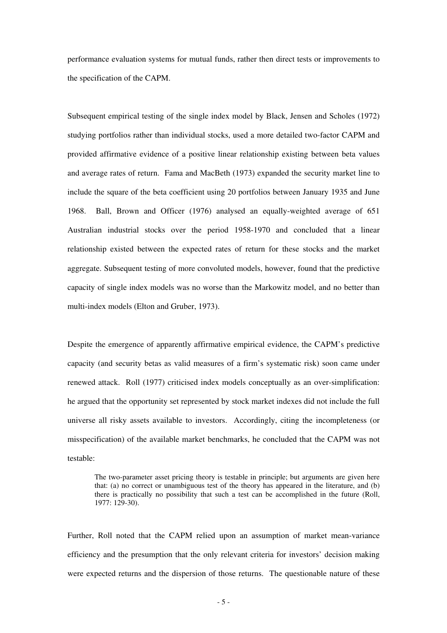performance evaluation systems for mutual funds, rather then direct tests or improvements to the specification of the CAPM.

Subsequent empirical testing of the single index model by Black, Jensen and Scholes (1972) studying portfolios rather than individual stocks, used a more detailed two-factor CAPM and provided affirmative evidence of a positive linear relationship existing between beta values and average rates of return. Fama and MacBeth (1973) expanded the security market line to include the square of the beta coefficient using 20 portfolios between January 1935 and June 1968. Ball, Brown and Officer (1976) analysed an equally-weighted average of 651 Australian industrial stocks over the period 1958-1970 and concluded that a linear relationship existed between the expected rates of return for these stocks and the market aggregate. Subsequent testing of more convoluted models, however, found that the predictive capacity of single index models was no worse than the Markowitz model, and no better than multi-index models (Elton and Gruber, 1973).

Despite the emergence of apparently affirmative empirical evidence, the CAPM's predictive capacity (and security betas as valid measures of a firm's systematic risk) soon came under renewed attack. Roll (1977) criticised index models conceptually as an over-simplification: he argued that the opportunity set represented by stock market indexes did not include the full universe all risky assets available to investors. Accordingly, citing the incompleteness (or misspecification) of the available market benchmarks, he concluded that the CAPM was not testable:

The two-parameter asset pricing theory is testable in principle; but arguments are given here that: (a) no correct or unambiguous test of the theory has appeared in the literature, and (b) there is practically no possibility that such a test can be accomplished in the future (Roll, 1977: 129-30).

Further, Roll noted that the CAPM relied upon an assumption of market mean-variance efficiency and the presumption that the only relevant criteria for investors' decision making were expected returns and the dispersion of those returns. The questionable nature of these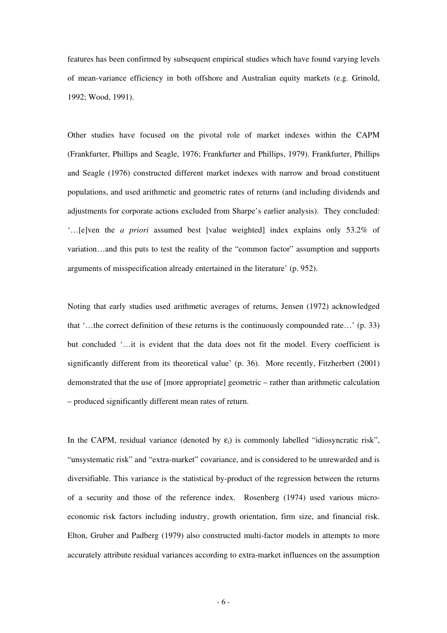features has been confirmed by subsequent empirical studies which have found varying levels of mean-variance efficiency in both offshore and Australian equity markets (e.g. Grinold, 1992; Wood, 1991).

Other studies have focused on the pivotal role of market indexes within the CAPM (Frankfurter, Phillips and Seagle, 1976; Frankfurter and Phillips, 1979). Frankfurter, Phillips and Seagle (1976) constructed different market indexes with narrow and broad constituent populations, and used arithmetic and geometric rates of returns (and including dividends and adjustments for corporate actions excluded from Sharpe's earlier analysis). They concluded: '…[e]ven the *a priori* assumed best [value weighted] index explains only 53.2% of variation…and this puts to test the reality of the "common factor" assumption and supports arguments of misspecification already entertained in the literature' (p. 952).

Noting that early studies used arithmetic averages of returns, Jensen (1972) acknowledged that '…the correct definition of these returns is the continuously compounded rate…' (p. 33) but concluded '…it is evident that the data does not fit the model. Every coefficient is significantly different from its theoretical value' (p. 36). More recently, Fitzherbert (2001) demonstrated that the use of [more appropriate] geometric – rather than arithmetic calculation – produced significantly different mean rates of return.

In the CAPM, residual variance (denoted by  $\varepsilon_i$ ) is commonly labelled "idiosyncratic risk", "unsystematic risk" and "extra-market" covariance, and is considered to be unrewarded and is diversifiable. This variance is the statistical by-product of the regression between the returns of a security and those of the reference index. Rosenberg (1974) used various microeconomic risk factors including industry, growth orientation, firm size, and financial risk. Elton, Gruber and Padberg (1979) also constructed multi-factor models in attempts to more accurately attribute residual variances according to extra-market influences on the assumption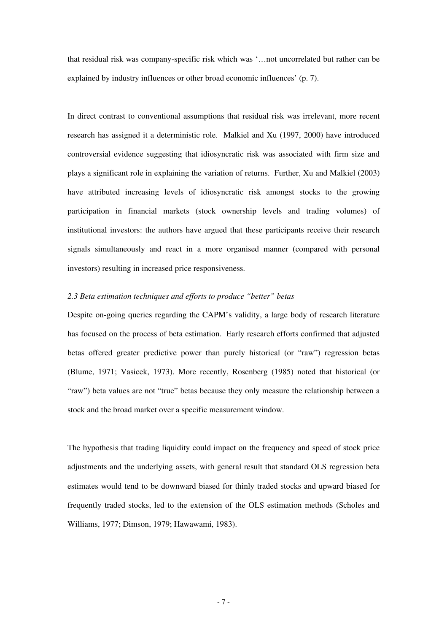that residual risk was company-specific risk which was '…not uncorrelated but rather can be explained by industry influences or other broad economic influences' (p. 7).

In direct contrast to conventional assumptions that residual risk was irrelevant, more recent research has assigned it a deterministic role. Malkiel and Xu (1997, 2000) have introduced controversial evidence suggesting that idiosyncratic risk was associated with firm size and plays a significant role in explaining the variation of returns. Further, Xu and Malkiel (2003) have attributed increasing levels of idiosyncratic risk amongst stocks to the growing participation in financial markets (stock ownership levels and trading volumes) of institutional investors: the authors have argued that these participants receive their research signals simultaneously and react in a more organised manner (compared with personal investors) resulting in increased price responsiveness.

# *2.3 Beta estimation techniques and efforts to produce "better" betas*

Despite on-going queries regarding the CAPM's validity, a large body of research literature has focused on the process of beta estimation. Early research efforts confirmed that adjusted betas offered greater predictive power than purely historical (or "raw") regression betas (Blume, 1971; Vasicek, 1973). More recently, Rosenberg (1985) noted that historical (or "raw") beta values are not "true" betas because they only measure the relationship between a stock and the broad market over a specific measurement window.

The hypothesis that trading liquidity could impact on the frequency and speed of stock price adjustments and the underlying assets, with general result that standard OLS regression beta estimates would tend to be downward biased for thinly traded stocks and upward biased for frequently traded stocks, led to the extension of the OLS estimation methods (Scholes and Williams, 1977; Dimson, 1979; Hawawami, 1983).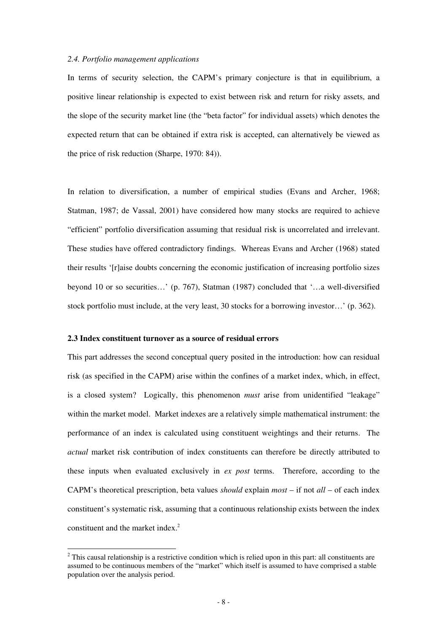#### *2.4. Portfolio management applications*

In terms of security selection, the CAPM's primary conjecture is that in equilibrium, a positive linear relationship is expected to exist between risk and return for risky assets, and the slope of the security market line (the "beta factor" for individual assets) which denotes the expected return that can be obtained if extra risk is accepted, can alternatively be viewed as the price of risk reduction (Sharpe, 1970: 84)).

In relation to diversification, a number of empirical studies (Evans and Archer, 1968; Statman, 1987; de Vassal, 2001) have considered how many stocks are required to achieve "efficient" portfolio diversification assuming that residual risk is uncorrelated and irrelevant. These studies have offered contradictory findings. Whereas Evans and Archer (1968) stated their results '[r]aise doubts concerning the economic justification of increasing portfolio sizes beyond 10 or so securities…' (p. 767), Statman (1987) concluded that '…a well-diversified stock portfolio must include, at the very least, 30 stocks for a borrowing investor…' (p. 362).

# **2.3 Index constituent turnover as a source of residual errors**

 $\overline{a}$ 

This part addresses the second conceptual query posited in the introduction: how can residual risk (as specified in the CAPM) arise within the confines of a market index, which, in effect, is a closed system? Logically, this phenomenon *must* arise from unidentified "leakage" within the market model. Market indexes are a relatively simple mathematical instrument: the performance of an index is calculated using constituent weightings and their returns. The *actual* market risk contribution of index constituents can therefore be directly attributed to these inputs when evaluated exclusively in *ex post* terms. Therefore, according to the CAPM's theoretical prescription, beta values *should* explain *most* – if not *all* – of each index constituent's systematic risk, assuming that a continuous relationship exists between the index constituent and the market index.<sup>2</sup>

 $2$  This causal relationship is a restrictive condition which is relied upon in this part: all constituents are assumed to be continuous members of the "market" which itself is assumed to have comprised a stable population over the analysis period.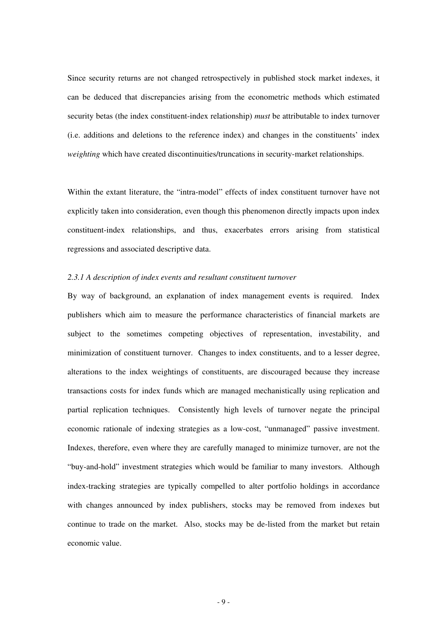Since security returns are not changed retrospectively in published stock market indexes, it can be deduced that discrepancies arising from the econometric methods which estimated security betas (the index constituent-index relationship) *must* be attributable to index turnover (i.e. additions and deletions to the reference index) and changes in the constituents' index *weighting* which have created discontinuities/truncations in security-market relationships.

Within the extant literature, the "intra-model" effects of index constituent turnover have not explicitly taken into consideration, even though this phenomenon directly impacts upon index constituent-index relationships, and thus, exacerbates errors arising from statistical regressions and associated descriptive data.

# *2.3.1 A description of index events and resultant constituent turnover*

By way of background, an explanation of index management events is required. Index publishers which aim to measure the performance characteristics of financial markets are subject to the sometimes competing objectives of representation, investability, and minimization of constituent turnover. Changes to index constituents, and to a lesser degree, alterations to the index weightings of constituents, are discouraged because they increase transactions costs for index funds which are managed mechanistically using replication and partial replication techniques. Consistently high levels of turnover negate the principal economic rationale of indexing strategies as a low-cost, "unmanaged" passive investment. Indexes, therefore, even where they are carefully managed to minimize turnover, are not the "buy-and-hold" investment strategies which would be familiar to many investors. Although index-tracking strategies are typically compelled to alter portfolio holdings in accordance with changes announced by index publishers, stocks may be removed from indexes but continue to trade on the market. Also, stocks may be de-listed from the market but retain economic value.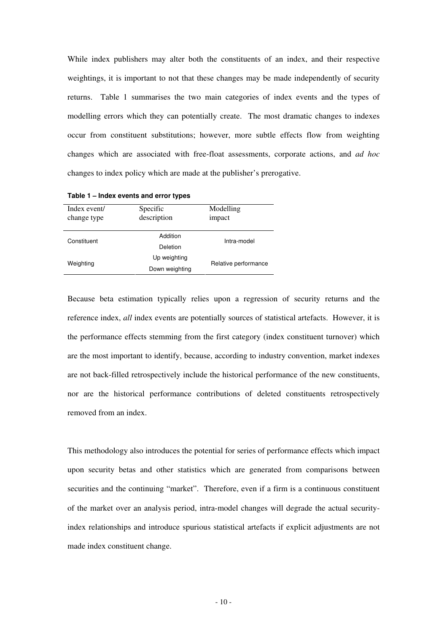While index publishers may alter both the constituents of an index, and their respective weightings, it is important to not that these changes may be made independently of security returns. Table 1 summarises the two main categories of index events and the types of modelling errors which they can potentially create. The most dramatic changes to indexes occur from constituent substitutions; however, more subtle effects flow from weighting changes which are associated with free-float assessments, corporate actions, and *ad hoc* changes to index policy which are made at the publisher's prerogative.

| Index event/<br>change type | Specific<br>description | Modelling<br>impact  |
|-----------------------------|-------------------------|----------------------|
| Constituent                 | Addition                | Intra-model          |
|                             | Deletion                |                      |
| Weighting                   | Up weighting            | Relative performance |
|                             | Down weighting          |                      |

**Table 1 – Index events and error types** 

Because beta estimation typically relies upon a regression of security returns and the reference index, *all* index events are potentially sources of statistical artefacts. However, it is the performance effects stemming from the first category (index constituent turnover) which are the most important to identify, because, according to industry convention, market indexes are not back-filled retrospectively include the historical performance of the new constituents, nor are the historical performance contributions of deleted constituents retrospectively removed from an index.

This methodology also introduces the potential for series of performance effects which impact upon security betas and other statistics which are generated from comparisons between securities and the continuing "market". Therefore, even if a firm is a continuous constituent of the market over an analysis period, intra-model changes will degrade the actual securityindex relationships and introduce spurious statistical artefacts if explicit adjustments are not made index constituent change.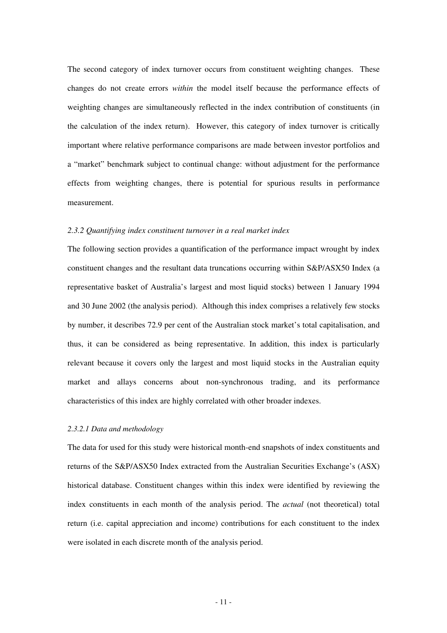The second category of index turnover occurs from constituent weighting changes. These changes do not create errors *within* the model itself because the performance effects of weighting changes are simultaneously reflected in the index contribution of constituents (in the calculation of the index return). However, this category of index turnover is critically important where relative performance comparisons are made between investor portfolios and a "market" benchmark subject to continual change: without adjustment for the performance effects from weighting changes, there is potential for spurious results in performance measurement.

## *2.3.2 Quantifying index constituent turnover in a real market index*

The following section provides a quantification of the performance impact wrought by index constituent changes and the resultant data truncations occurring within S&P/ASX50 Index (a representative basket of Australia's largest and most liquid stocks) between 1 January 1994 and 30 June 2002 (the analysis period). Although this index comprises a relatively few stocks by number, it describes 72.9 per cent of the Australian stock market's total capitalisation, and thus, it can be considered as being representative. In addition, this index is particularly relevant because it covers only the largest and most liquid stocks in the Australian equity market and allays concerns about non-synchronous trading, and its performance characteristics of this index are highly correlated with other broader indexes.

#### *2.3.2.1 Data and methodology*

The data for used for this study were historical month-end snapshots of index constituents and returns of the S&P/ASX50 Index extracted from the Australian Securities Exchange's (ASX) historical database. Constituent changes within this index were identified by reviewing the index constituents in each month of the analysis period. The *actual* (not theoretical) total return (i.e. capital appreciation and income) contributions for each constituent to the index were isolated in each discrete month of the analysis period.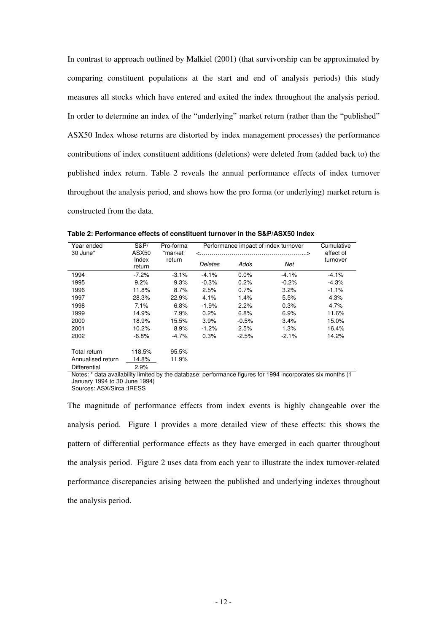In contrast to approach outlined by Malkiel (2001) (that survivorship can be approximated by comparing constituent populations at the start and end of analysis periods) this study measures all stocks which have entered and exited the index throughout the analysis period. In order to determine an index of the "underlying" market return (rather than the "published" ASX50 Index whose returns are distorted by index management processes) the performance contributions of index constituent additions (deletions) were deleted from (added back to) the published index return. Table 2 reveals the annual performance effects of index turnover throughout the analysis period, and shows how the pro forma (or underlying) market return is constructed from the data.

| Year ended<br>30 June* | <b>S&amp;P/</b><br>ASX50 | Pro-forma<br>"market" | Performance impact of index turnover | Cumulative<br>effect of |         |          |
|------------------------|--------------------------|-----------------------|--------------------------------------|-------------------------|---------|----------|
|                        | Index<br>return          | return                | Deletes                              | Adds                    | Net     | turnover |
| 1994                   | $-7.2%$                  | $-3.1%$               | $-4.1%$                              | 0.0%                    | $-4.1%$ | $-4.1%$  |
| 1995                   | 9.2%                     | 9.3%                  | $-0.3%$                              | 0.2%                    | $-0.2%$ | -4.3%    |
| 1996                   | 11.8%                    | 8.7%                  | 2.5%                                 | 0.7%                    | 3.2%    | $-1.1%$  |
| 1997                   | 28.3%                    | 22.9%                 | 4.1%                                 | 1.4%                    | 5.5%    | 4.3%     |
| 1998                   | 7.1%                     | 6.8%                  | $-1.9%$                              | 2.2%                    | 0.3%    | 4.7%     |
| 1999                   | 14.9%                    | 7.9%                  | 0.2%                                 | 6.8%                    | 6.9%    | 11.6%    |
| 2000                   | 18.9%                    | 15.5%                 | 3.9%                                 | $-0.5%$                 | 3.4%    | 15.0%    |
| 2001                   | 10.2%                    | 8.9%                  | $-1.2\%$                             | 2.5%                    | 1.3%    | 16.4%    |
| 2002                   | $-6.8%$                  | $-4.7\%$              | 0.3%                                 | $-2.5%$                 | $-2.1%$ | 14.2%    |
| Total return           | 118.5%                   | 95.5%                 |                                      |                         |         |          |
| Annualised return      | 14.8%                    | 11.9%                 |                                      |                         |         |          |
| Differential           | 2.9%                     |                       | $\epsilon$                           | $\ddot{\phantom{0}}$    |         | $\sim$   |

**Table 2: Performance effects of constituent turnover in the S&P/ASX50 Index** 

Notes: \* data availability limited by the database: performance figures for 1994 incorporates six months (1 January 1994 to 30 June 1994)

Sources: ASX/Sirca ;IRESS

The magnitude of performance effects from index events is highly changeable over the analysis period. Figure 1 provides a more detailed view of these effects: this shows the pattern of differential performance effects as they have emerged in each quarter throughout the analysis period. Figure 2 uses data from each year to illustrate the index turnover-related performance discrepancies arising between the published and underlying indexes throughout the analysis period.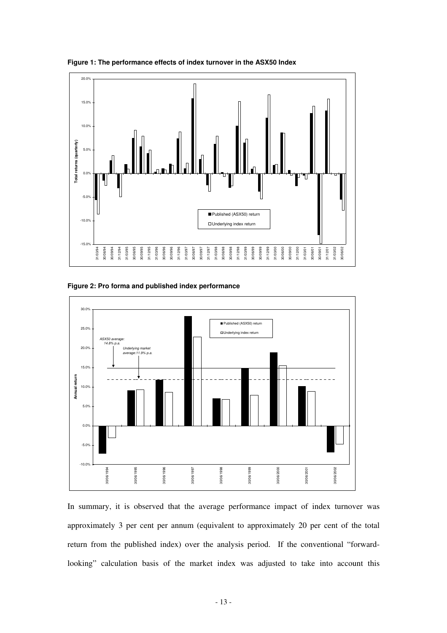

**Figure 1: The performance effects of index turnover in the ASX50 Index** 

**Figure 2: Pro forma and published index performance** 



In summary, it is observed that the average performance impact of index turnover was approximately 3 per cent per annum (equivalent to approximately 20 per cent of the total return from the published index) over the analysis period. If the conventional "forwardlooking" calculation basis of the market index was adjusted to take into account this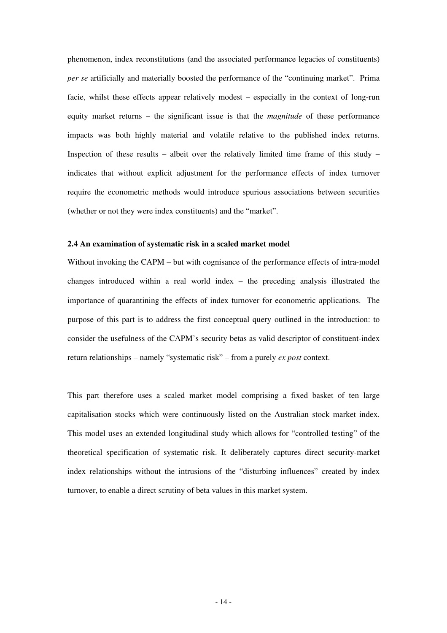phenomenon, index reconstitutions (and the associated performance legacies of constituents) *per se* artificially and materially boosted the performance of the "continuing market". Prima facie, whilst these effects appear relatively modest – especially in the context of long-run equity market returns – the significant issue is that the *magnitude* of these performance impacts was both highly material and volatile relative to the published index returns. Inspection of these results – albeit over the relatively limited time frame of this study – indicates that without explicit adjustment for the performance effects of index turnover require the econometric methods would introduce spurious associations between securities (whether or not they were index constituents) and the "market".

# **2.4 An examination of systematic risk in a scaled market model**

Without invoking the CAPM – but with cognisance of the performance effects of intra-model changes introduced within a real world index – the preceding analysis illustrated the importance of quarantining the effects of index turnover for econometric applications. The purpose of this part is to address the first conceptual query outlined in the introduction: to consider the usefulness of the CAPM's security betas as valid descriptor of constituent-index return relationships – namely "systematic risk" – from a purely *ex post* context.

This part therefore uses a scaled market model comprising a fixed basket of ten large capitalisation stocks which were continuously listed on the Australian stock market index. This model uses an extended longitudinal study which allows for "controlled testing" of the theoretical specification of systematic risk. It deliberately captures direct security-market index relationships without the intrusions of the "disturbing influences" created by index turnover, to enable a direct scrutiny of beta values in this market system.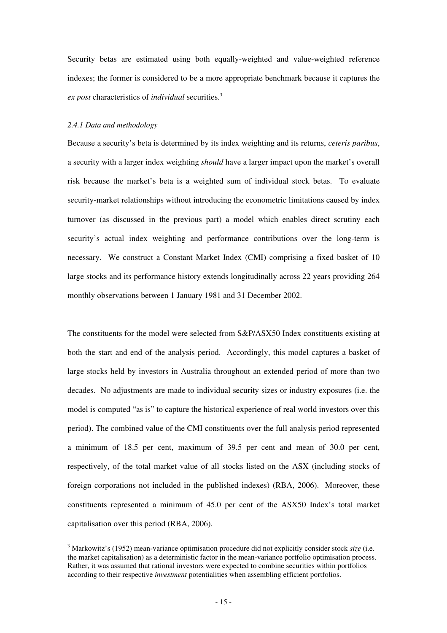Security betas are estimated using both equally-weighted and value-weighted reference indexes; the former is considered to be a more appropriate benchmark because it captures the *ex post* characteristics of *individual* securities.<sup>3</sup>

### *2.4.1 Data and methodology*

 $\overline{a}$ 

Because a security's beta is determined by its index weighting and its returns, *ceteris paribus*, a security with a larger index weighting *should* have a larger impact upon the market's overall risk because the market's beta is a weighted sum of individual stock betas. To evaluate security-market relationships without introducing the econometric limitations caused by index turnover (as discussed in the previous part) a model which enables direct scrutiny each security's actual index weighting and performance contributions over the long-term is necessary. We construct a Constant Market Index (CMI) comprising a fixed basket of 10 large stocks and its performance history extends longitudinally across 22 years providing 264 monthly observations between 1 January 1981 and 31 December 2002.

The constituents for the model were selected from S&P/ASX50 Index constituents existing at both the start and end of the analysis period. Accordingly, this model captures a basket of large stocks held by investors in Australia throughout an extended period of more than two decades. No adjustments are made to individual security sizes or industry exposures (i.e. the model is computed "as is" to capture the historical experience of real world investors over this period). The combined value of the CMI constituents over the full analysis period represented a minimum of 18.5 per cent, maximum of 39.5 per cent and mean of 30.0 per cent, respectively, of the total market value of all stocks listed on the ASX (including stocks of foreign corporations not included in the published indexes) (RBA, 2006). Moreover, these constituents represented a minimum of 45.0 per cent of the ASX50 Index's total market capitalisation over this period (RBA, 2006).

<sup>3</sup> Markowitz's (1952) mean-variance optimisation procedure did not explicitly consider stock *size* (i.e. the market capitalisation) as a deterministic factor in the mean-variance portfolio optimisation process. Rather, it was assumed that rational investors were expected to combine securities within portfolios according to their respective *investment* potentialities when assembling efficient portfolios.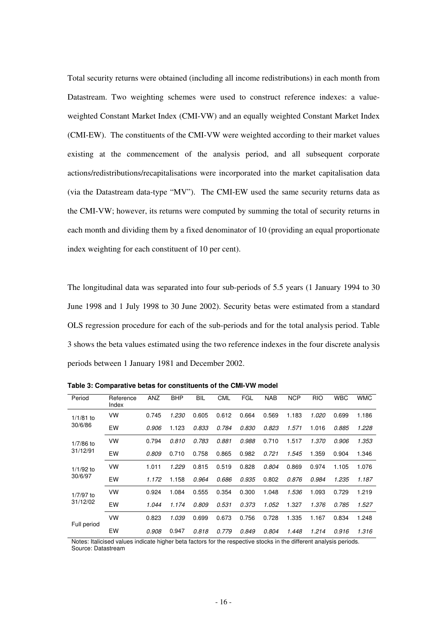Total security returns were obtained (including all income redistributions) in each month from Datastream. Two weighting schemes were used to construct reference indexes: a valueweighted Constant Market Index (CMI-VW) and an equally weighted Constant Market Index (CMI-EW). The constituents of the CMI-VW were weighted according to their market values existing at the commencement of the analysis period, and all subsequent corporate actions/redistributions/recapitalisations were incorporated into the market capitalisation data (via the Datastream data-type "MV"). The CMI-EW used the same security returns data as the CMI-VW; however, its returns were computed by summing the total of security returns in each month and dividing them by a fixed denominator of 10 (providing an equal proportionate index weighting for each constituent of 10 per cent).

The longitudinal data was separated into four sub-periods of 5.5 years (1 January 1994 to 30 June 1998 and 1 July 1998 to 30 June 2002). Security betas were estimated from a standard OLS regression procedure for each of the sub-periods and for the total analysis period. Table 3 shows the beta values estimated using the two reference indexes in the four discrete analysis periods between 1 January 1981 and December 2002.

| Period                  | Reference<br>Index | ANZ   | <b>BHP</b> | BIL   | CML   | FGL          | <b>NAB</b> | <b>NCP</b> | <b>RIO</b> | <b>WBC</b> | <b>WMC</b> |
|-------------------------|--------------------|-------|------------|-------|-------|--------------|------------|------------|------------|------------|------------|
| $1/1/81$ to<br>30/6/86  | VW                 | 0.745 | 1.230      | 0.605 | 0.612 | 0.664        | 0.569      | 1.183      | 1.020      | 0.699      | 1.186      |
|                         | EW                 | 0.906 | 1.123      | 0.833 | 0.784 | <i>0.830</i> | 0.823      | 1.571      | 1.016      | 0.885      | 1.228      |
| $1/7/86$ to<br>31/12/91 | VW                 | 0.794 | 0.810      | 0.783 | 0.881 | 0.988        | 0.710      | 1.517      | 1.370      | 0.906      | 1.353      |
|                         | EW                 | 0.809 | 0.710      | 0.758 | 0.865 | 0.982        | 0.721      | 1.545      | 1.359      | 0.904      | 1.346      |
| 1/1/92 to<br>30/6/97    | VW                 | 1.011 | 1.229      | 0.815 | 0.519 | 0.828        | 0.804      | 0.869      | 0.974      | 1.105      | 1.076      |
|                         | EW                 | 1.172 | 1.158      | 0.964 | 0.686 | 0.935        | 0.802      | 0.876      | 0.984      | 1.235      | 1.187      |
| 1/7/97 to<br>31/12/02   | VW                 | 0.924 | 1.084      | 0.555 | 0.354 | 0.300        | 1.048      | 1.536      | 1.093      | 0.729      | 1.219      |
|                         | EW                 | 1.044 | 1.174      | 0.809 | 0.531 | 0.373        | 1.052      | 1.327      | 1.376      | 0.785      | 1.527      |
| Full period             | VW                 | 0.823 | 1.039      | 0.699 | 0.673 | 0.756        | 0.728      | 1.335      | 1.167      | 0.834      | 1.248      |
|                         | EW                 | 0.908 | 0.947      | 0.818 | 0.779 | 0.849        | 0.804      | 1.448      | 1.214      | 0.916      | 1.316      |

**Table 3: Comparative betas for constituents of the CMI-VW model** 

Notes: Italicised values indicate higher beta factors for the respective stocks in the different analysis periods. Source: Datastream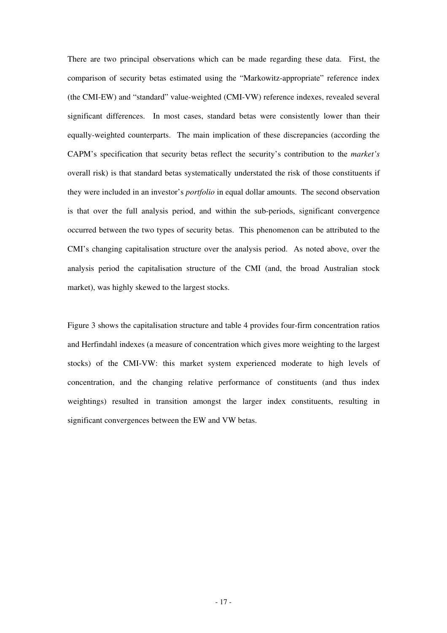There are two principal observations which can be made regarding these data. First, the comparison of security betas estimated using the "Markowitz-appropriate" reference index (the CMI-EW) and "standard" value-weighted (CMI-VW) reference indexes, revealed several significant differences. In most cases, standard betas were consistently lower than their equally-weighted counterparts. The main implication of these discrepancies (according the CAPM's specification that security betas reflect the security's contribution to the *market's* overall risk) is that standard betas systematically understated the risk of those constituents if they were included in an investor's *portfolio* in equal dollar amounts. The second observation is that over the full analysis period, and within the sub-periods, significant convergence occurred between the two types of security betas. This phenomenon can be attributed to the CMI's changing capitalisation structure over the analysis period. As noted above, over the analysis period the capitalisation structure of the CMI (and, the broad Australian stock market), was highly skewed to the largest stocks.

Figure 3 shows the capitalisation structure and table 4 provides four-firm concentration ratios and Herfindahl indexes (a measure of concentration which gives more weighting to the largest stocks) of the CMI-VW: this market system experienced moderate to high levels of concentration, and the changing relative performance of constituents (and thus index weightings) resulted in transition amongst the larger index constituents, resulting in significant convergences between the EW and VW betas.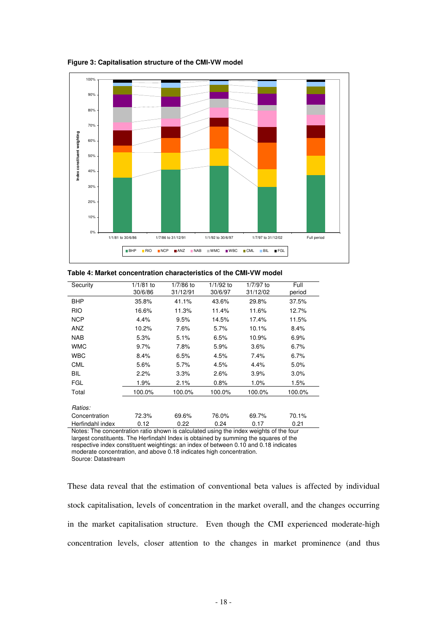

**Figure 3: Capitalisation structure of the CMI-VW model** 

|  |  | Table 4: Market concentration characteristics of the CMI-VW model |  |  |
|--|--|-------------------------------------------------------------------|--|--|
|--|--|-------------------------------------------------------------------|--|--|

| Security                 | $1/1/81$ to<br>30/6/86 | 1/7/86 to<br>31/12/91 | 1/1/92 to<br>30/6/97 | 1/7/97 to<br>31/12/02      | Full<br>period |
|--------------------------|------------------------|-----------------------|----------------------|----------------------------|----------------|
| <b>BHP</b>               | 35.8%                  | 41.1%                 | 43.6%                | 29.8%                      | 37.5%          |
| <b>RIO</b>               | 16.6%                  | 11.3%                 | 11.4%                | 11.6%                      | 12.7%          |
| <b>NCP</b>               | 4.4%                   | 9.5%                  | 14.5%                | 17.4%                      | 11.5%          |
| ANZ                      | 10.2%                  | 7.6%                  | 5.7%                 | 10.1%                      | 8.4%           |
| <b>NAB</b>               | 5.3%                   | 5.1%                  | 6.5%                 | 10.9%                      | 6.9%           |
| <b>WMC</b>               | 9.7%                   | 7.8%                  | 5.9%                 | 3.6%                       | 6.7%           |
| <b>WBC</b>               | 8.4%                   | 6.5%                  | 4.5%                 | 7.4%                       | 6.7%           |
| <b>CML</b>               | 5.6%                   | 5.7%                  | 4.5%                 | 4.4%                       | 5.0%           |
| BIL                      | 2.2%                   | 3.3%                  | 2.6%                 | $3.9\%$                    | 3.0%           |
| <b>FGL</b>               | 1.9%                   | $2.1\%$               | 0.8%                 | $1.0\%$                    | 1.5%           |
| Total                    | 100.0%                 | 100.0%                | 100.0%               | 100.0%                     | 100.0%         |
| Ratios:                  |                        |                       |                      |                            |                |
| Concentration            | 72.3%                  | 69.6%                 | 76.0%                | 69.7%                      | 70.1%          |
| Herfindahl index<br>$-1$ | 0.12                   | 0.22                  | 0.24                 | 0.17<br>.<br>$\sim$ $\sim$ | 0.21           |

Notes: The concentration ratio shown is calculated using the index weights of the four largest constituents. The Herfindahl Index is obtained by summing the squares of the respective index constituent weightings: an index of between 0.10 and 0.18 indicates moderate concentration, and above 0.18 indicates high concentration. Source: Datastream

These data reveal that the estimation of conventional beta values is affected by individual stock capitalisation, levels of concentration in the market overall, and the changes occurring in the market capitalisation structure. Even though the CMI experienced moderate-high concentration levels, closer attention to the changes in market prominence (and thus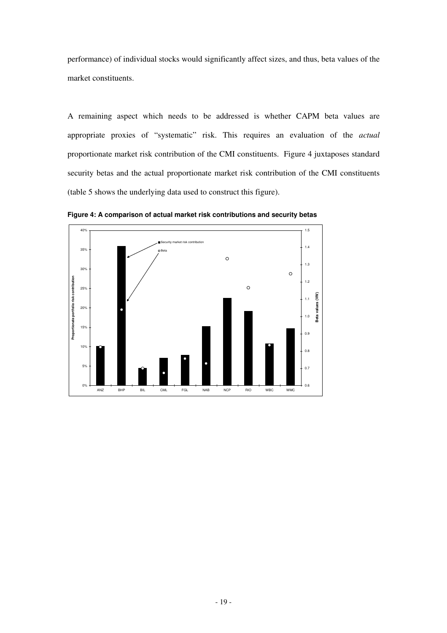performance) of individual stocks would significantly affect sizes, and thus, beta values of the market constituents.

A remaining aspect which needs to be addressed is whether CAPM beta values are appropriate proxies of "systematic" risk. This requires an evaluation of the *actual* proportionate market risk contribution of the CMI constituents. Figure 4 juxtaposes standard security betas and the actual proportionate market risk contribution of the CMI constituents (table 5 shows the underlying data used to construct this figure).



**Figure 4: A comparison of actual market risk contributions and security betas**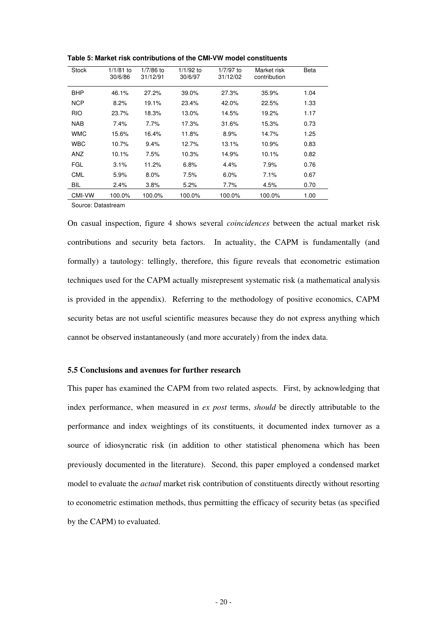| <b>Stock</b> | $1/1/81$ to<br>30/6/86 | 1/7/86 to<br>31/12/91 | 1/1/92 to<br>30/6/97 | 1/7/97 to<br>31/12/02 | Market risk<br>contribution | <b>Beta</b> |
|--------------|------------------------|-----------------------|----------------------|-----------------------|-----------------------------|-------------|
| <b>BHP</b>   | 46.1%                  | 27.2%                 | 39.0%                | 27.3%                 | 35.9%                       | 1.04        |
| <b>NCP</b>   | 8.2%                   | 19.1%                 | 23.4%                | 42.0%                 | 22.5%                       | 1.33        |
| <b>RIO</b>   | 23.7%                  | 18.3%                 | 13.0%                | 14.5%                 | 19.2%                       | 1.17        |
| <b>NAB</b>   | 7.4%                   | 7.7%                  | 17.3%                | 31.6%                 | 15.3%                       | 0.73        |
| <b>WMC</b>   | 15.6%                  | 16.4%                 | 11.8%                | 8.9%                  | 14.7%                       | 1.25        |
| <b>WBC</b>   | 10.7%                  | 9.4%                  | 12.7%                | 13.1%                 | 10.9%                       | 0.83        |
| ANZ          | 10.1%                  | 7.5%                  | 10.3%                | 14.9%                 | 10.1%                       | 0.82        |
| <b>FGL</b>   | 3.1%                   | 11.2%                 | 6.8%                 | 4.4%                  | 7.9%                        | 0.76        |
| <b>CML</b>   | 5.9%                   | 8.0%                  | 7.5%                 | 6.0%                  | 7.1%                        | 0.67        |
| <b>BIL</b>   | 2.4%                   | 3.8%                  | 5.2%                 | 7.7%                  | 4.5%                        | 0.70        |
| CMI-VW       | 100.0%                 | 100.0%                | 100.0%               | 100.0%                | 100.0%                      | 1.00        |

**Table 5: Market risk contributions of the CMI-VW model constituents** 

Source: Datastream

On casual inspection, figure 4 shows several *coincidences* between the actual market risk contributions and security beta factors. In actuality, the CAPM is fundamentally (and formally) a tautology: tellingly, therefore, this figure reveals that econometric estimation techniques used for the CAPM actually misrepresent systematic risk (a mathematical analysis is provided in the appendix). Referring to the methodology of positive economics, CAPM security betas are not useful scientific measures because they do not express anything which cannot be observed instantaneously (and more accurately) from the index data.

### **5.5 Conclusions and avenues for further research**

This paper has examined the CAPM from two related aspects. First, by acknowledging that index performance, when measured in *ex post* terms, *should* be directly attributable to the performance and index weightings of its constituents, it documented index turnover as a source of idiosyncratic risk (in addition to other statistical phenomena which has been previously documented in the literature). Second, this paper employed a condensed market model to evaluate the *actual* market risk contribution of constituents directly without resorting to econometric estimation methods, thus permitting the efficacy of security betas (as specified by the CAPM) to evaluated.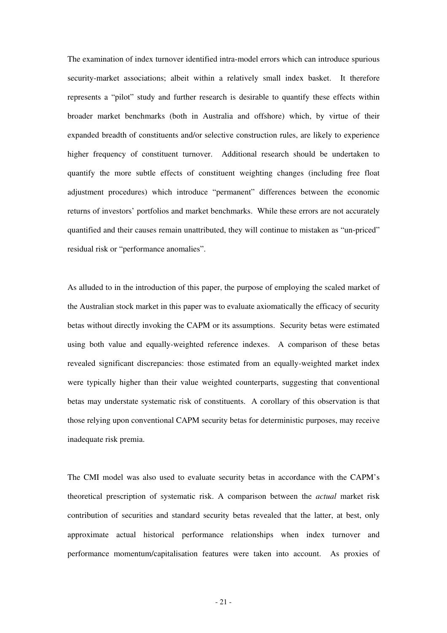The examination of index turnover identified intra-model errors which can introduce spurious security-market associations; albeit within a relatively small index basket. It therefore represents a "pilot" study and further research is desirable to quantify these effects within broader market benchmarks (both in Australia and offshore) which, by virtue of their expanded breadth of constituents and/or selective construction rules, are likely to experience higher frequency of constituent turnover. Additional research should be undertaken to quantify the more subtle effects of constituent weighting changes (including free float adjustment procedures) which introduce "permanent" differences between the economic returns of investors' portfolios and market benchmarks. While these errors are not accurately quantified and their causes remain unattributed, they will continue to mistaken as "un-priced" residual risk or "performance anomalies".

As alluded to in the introduction of this paper, the purpose of employing the scaled market of the Australian stock market in this paper was to evaluate axiomatically the efficacy of security betas without directly invoking the CAPM or its assumptions. Security betas were estimated using both value and equally-weighted reference indexes. A comparison of these betas revealed significant discrepancies: those estimated from an equally-weighted market index were typically higher than their value weighted counterparts, suggesting that conventional betas may understate systematic risk of constituents. A corollary of this observation is that those relying upon conventional CAPM security betas for deterministic purposes, may receive inadequate risk premia.

The CMI model was also used to evaluate security betas in accordance with the CAPM's theoretical prescription of systematic risk. A comparison between the *actual* market risk contribution of securities and standard security betas revealed that the latter, at best, only approximate actual historical performance relationships when index turnover and performance momentum/capitalisation features were taken into account. As proxies of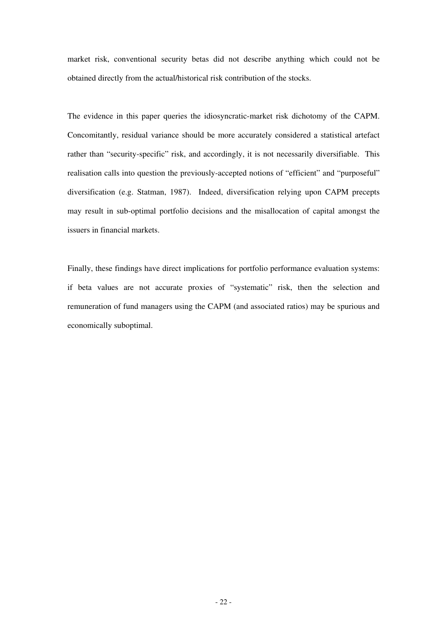market risk, conventional security betas did not describe anything which could not be obtained directly from the actual/historical risk contribution of the stocks.

The evidence in this paper queries the idiosyncratic-market risk dichotomy of the CAPM. Concomitantly, residual variance should be more accurately considered a statistical artefact rather than "security-specific" risk, and accordingly, it is not necessarily diversifiable. This realisation calls into question the previously-accepted notions of "efficient" and "purposeful" diversification (e.g. Statman, 1987). Indeed, diversification relying upon CAPM precepts may result in sub-optimal portfolio decisions and the misallocation of capital amongst the issuers in financial markets.

Finally, these findings have direct implications for portfolio performance evaluation systems: if beta values are not accurate proxies of "systematic" risk, then the selection and remuneration of fund managers using the CAPM (and associated ratios) may be spurious and economically suboptimal.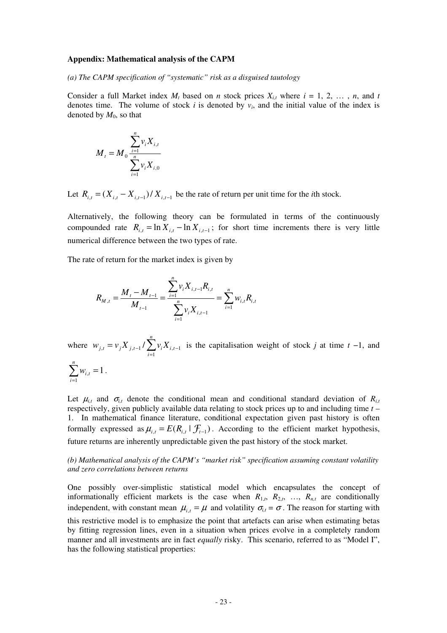#### **Appendix: Mathematical analysis of the CAPM**

*(a) The CAPM specification of "systematic" risk as a disguised tautology* 

Consider a full Market index  $M_t$  based on *n* stock prices  $X_{i,t}$  where  $i = 1, 2, \ldots, n$ , and *t* denotes time. The volume of stock  $i$  is denoted by  $v_i$ , and the initial value of the index is denoted by  $M_0$ , so that

$$
M_{t} = M_{0} \frac{\sum_{i=1}^{n} v_{i} X_{i,t}}{\sum_{i=1}^{n} v_{i} X_{i,0}}
$$

Let  $R_{i,t} = (X_{i,t} - X_{i,t-1}) / X_{i,t-1}$  be the rate of return per unit time for the *i*th stock.

Alternatively, the following theory can be formulated in terms of the continuously compounded rate  $R_{i,t} = \ln X_{i,t} - \ln X_{i,t-1}$ ; for short time increments there is very little numerical difference between the two types of rate.

The rate of return for the market index is given by

$$
R_{M,t} = \frac{M_t - M_{t-1}}{M_{t-1}} = \frac{\sum_{i=1}^n v_i X_{i,t-1} R_{i,t}}{\sum_{i=1}^n v_i X_{i,t-1}} = \sum_{i=1}^n w_{i,t} R_{i,t}
$$

where  $W_{j,t} = V_j X_{j,t-1} / \sum_{i=1}^{n}$ =  $= v_j X_{j,t-1} / \sum v_i X_{i,t-1}$ *n i*  $w_{j,t} = v_j X_{j,t-1} / \sum v_i X_{i,t}$ 1  $\sum_{i} v_i = v_j X_{i,t-1} / \sum_{i} v_i X_{i,t-1}$  is the capitalisation weight of stock *j* at time *t* −1, and *n*

$$
\sum_{i=1}^n w_{i,t} = 1
$$

.

Let  $\mu_{i,t}$  and  $\sigma_{i,t}$  denote the conditional mean and conditional standard deviation of  $R_{i,t}$ respectively, given publicly available data relating to stock prices up to and including time *t* – 1. In mathematical finance literature, conditional expectation given past history is often formally expressed as  $\mu_{i,t} = E(R_{i,t} | \mathcal{F}_{t-1})$ . According to the efficient market hypothesis, future returns are inherently unpredictable given the past history of the stock market.

### *(b) Mathematical analysis of the CAPM's "market risk" specification assuming constant volatility and zero correlations between returns*

One possibly over-simplistic statistical model which encapsulates the concept of informationally efficient markets is the case when  $R_{1,t}$ ,  $R_{2,t}$ , ...,  $R_{n,t}$  are conditionally independent, with constant mean  $\mu_{i,t} = \mu$  and volatility  $\sigma_{i,t} = \sigma$ . The reason for starting with this restrictive model is to emphasize the point that artefacts can arise when estimating betas by fitting regression lines, even in a situation when prices evolve in a completely random manner and all investments are in fact *equally* risky. This scenario, referred to as "Model I", has the following statistical properties: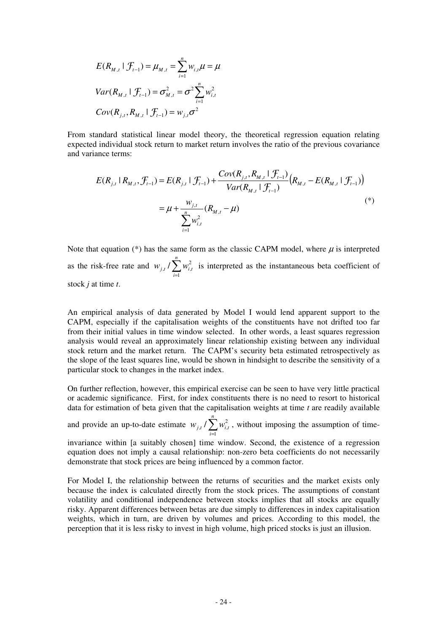$$
E(R_{M,t} | \mathcal{F}_{t-1}) = \mu_{M,t} = \sum_{i=1}^{n} w_{i,t} \mu = \mu
$$
  

$$
Var(R_{M,t} | \mathcal{F}_{t-1}) = \sigma_{M,t}^{2} = \sigma^{2} \sum_{i=1}^{n} w_{i,t}^{2}
$$
  

$$
Cov(R_{j,t}, R_{M,t} | \mathcal{F}_{t-1}) = w_{j,t} \sigma^{2}
$$

From standard statistical linear model theory, the theoretical regression equation relating expected individual stock return to market return involves the ratio of the previous covariance and variance terms:

$$
E(R_{j,t} | R_{M,t}, \mathcal{F}_{t-1}) = E(R_{j,t} | \mathcal{F}_{t-1}) + \frac{Cov(R_{j,t}, R_{M,t} | \mathcal{F}_{t-1})}{Var(R_{M,t} | \mathcal{F}_{t-1})} (R_{M,t} - E(R_{M,t} | \mathcal{F}_{t-1}))
$$
  

$$
= \mu + \frac{w_{j,t}}{\sum_{i=1}^{n} w_{i,t}^{2}} (R_{M,t} - \mu)
$$
 (\*)

Note that equation (\*) has the same form as the classic CAPM model, where  $\mu$  is interpreted as the risk-free rate and  $w_{j,t}/\sum_{j}^{n}$ = *n i*  $w_{j,t}$  /  $\sum w_{i,t}^2$ 1 2  $\sum_{i} w_{i,t}^2$  is interpreted as the instantaneous beta coefficient of stock *j* at time *t*.

An empirical analysis of data generated by Model I would lend apparent support to the CAPM, especially if the capitalisation weights of the constituents have not drifted too far from their initial values in time window selected. In other words, a least squares regression analysis would reveal an approximately linear relationship existing between any individual stock return and the market return. The CAPM's security beta estimated retrospectively as the slope of the least squares line, would be shown in hindsight to describe the sensitivity of a particular stock to changes in the market index.

On further reflection, however, this empirical exercise can be seen to have very little practical or academic significance. First, for index constituents there is no need to resort to historical data for estimation of beta given that the capitalisation weights at time *t* are readily available

and provide an up-to-date estimate  $w_{j,t}/\sum_{j}^{n}$ = *n i*  $w_{j,t}$  /  $\sum w_{i,t}^2$ 1 2  $\sum_{i} w_{i,t}^2$ , without imposing the assumption of time-

invariance within [a suitably chosen] time window. Second, the existence of a regression equation does not imply a causal relationship: non-zero beta coefficients do not necessarily demonstrate that stock prices are being influenced by a common factor.

For Model I, the relationship between the returns of securities and the market exists only because the index is calculated directly from the stock prices. The assumptions of constant volatility and conditional independence between stocks implies that all stocks are equally risky. Apparent differences between betas are due simply to differences in index capitalisation weights, which in turn, are driven by volumes and prices. According to this model, the perception that it is less risky to invest in high volume, high priced stocks is just an illusion.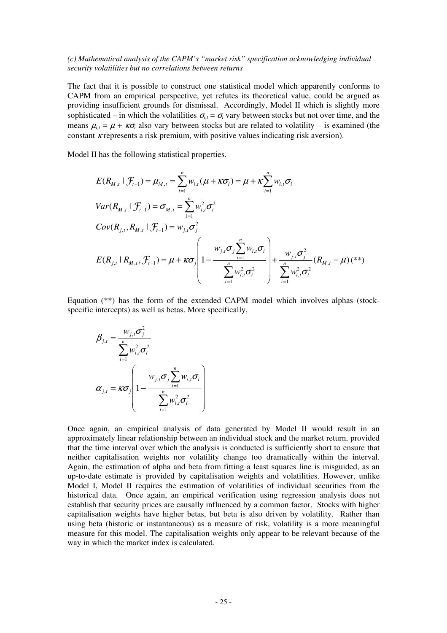#### *(c) Mathematical analysis of the CAPM's "market risk" specification acknowledging individual security volatilities but no correlations between returns*

The fact that it is possible to construct one statistical model which apparently conforms to CAPM from an empirical perspective, yet refutes its theoretical value, could be argued as providing insufficient grounds for dismissal. Accordingly, Model II which is slightly more sophisticated – in which the volatilities  $\sigma_{i,t} = \sigma_i$  vary between stocks but not over time, and the means  $\mu_{i,t} = \mu + \kappa \sigma_i$  also vary between stocks but are related to volatility – is examined (the constant κ represents a risk premium, with positive values indicating risk aversion).

Model II has the following statistical properties.

$$
E(R_{M,t} | \mathcal{F}_{t-1}) = \mu_{M,t} = \sum_{i=1}^{n} w_{i,t} (\mu + \kappa \sigma_i) = \mu + \kappa \sum_{i=1}^{n} w_{i,t} \sigma_i
$$
  
\n
$$
Var(R_{M,t} | \mathcal{F}_{t-1}) = \sigma_{M,t} = \sum_{i=1}^{n} w_{i,t}^2 \sigma_i^2
$$
  
\n
$$
Cov(R_{j,t}, R_{M,t} | \mathcal{F}_{t-1}) = w_{j,t} \sigma_j^2
$$
  
\n
$$
E(R_{j,t} | R_{M,t}, \mathcal{F}_{t-1}) = \mu + \kappa \sigma_j \left( 1 - \frac{w_{j,t} \sigma_j \sum_{i=1}^{n} w_{i,t} \sigma_i}{\sum_{i=1}^{n} w_{i,t}^2 \sigma_i^2} \right) + \frac{w_{j,t} \sigma_j^2}{\sum_{i=1}^{n} w_{i,t}^2 \sigma_i^2} (R_{M,t} - \mu) (*)
$$

Equation (\*\*) has the form of the extended CAPM model which involves alphas (stockspecific intercepts) as well as betas. More specifically,

$$
\beta_{j,t} = \frac{w_{j,t}\sigma_j^2}{\sum_{i=1}^n w_{i,t}^2 \sigma_i^2}
$$
\n
$$
\alpha_{j,t} = \kappa \sigma_j \left( 1 - \frac{w_{j,t}\sigma_j \sum_{i=1}^n w_{i,t} \sigma_i}{\sum_{i=1}^n w_{i,t}^2 \sigma_i^2} \right)
$$

Once again, an empirical analysis of data generated by Model II would result in an approximately linear relationship between an individual stock and the market return, provided that the time interval over which the analysis is conducted is sufficiently short to ensure that neither capitalisation weights nor volatility change too dramatically within the interval. Again, the estimation of alpha and beta from fitting a least squares line is misguided, as an up-to-date estimate is provided by capitalisation weights and volatilities. However, unlike Model I, Model II requires the estimation of volatilities of individual securities from the historical data. Once again, an empirical verification using regression analysis does not establish that security prices are causally influenced by a common factor. Stocks with higher capitalisation weights have higher betas, but beta is also driven by volatility. Rather than using beta (historic or instantaneous) as a measure of risk, volatility is a more meaningful measure for this model. The capitalisation weights only appear to be relevant because of the way in which the market index is calculated.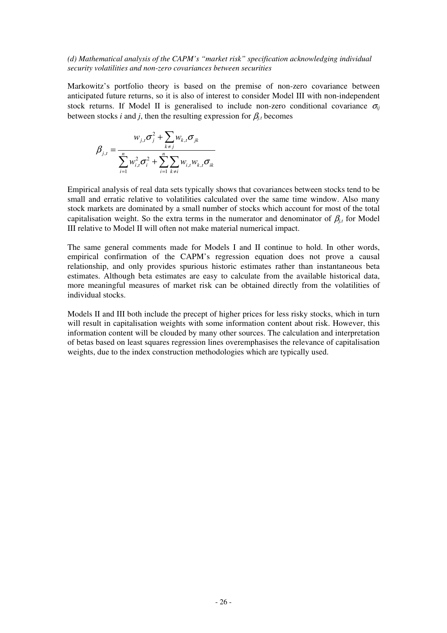## *(d) Mathematical analysis of the CAPM's "market risk" specification acknowledging individual security volatilities and non-zero covariances between securities*

Markowitz's portfolio theory is based on the premise of non-zero covariance between anticipated future returns, so it is also of interest to consider Model III with non-independent stock returns. If Model II is generalised to include non-zero conditional covariance  $\sigma_{ij}$ between stocks *i* and *j*, then the resulting expression for  $\beta_{j,t}$  becomes

$$
\beta_{j,t} = \frac{w_{j,t}\sigma_j^2 + \sum_{k \neq j} w_{k,t}\sigma_{jk}}{\sum_{i=1}^n w_{i,t}^2 \sigma_i^2 + \sum_{i=1}^n \sum_{k \neq i} w_{i,t} w_{k,t} \sigma_{ik}}
$$

Empirical analysis of real data sets typically shows that covariances between stocks tend to be small and erratic relative to volatilities calculated over the same time window. Also many stock markets are dominated by a small number of stocks which account for most of the total capitalisation weight. So the extra terms in the numerator and denominator of  $\beta_{i,t}$  for Model III relative to Model II will often not make material numerical impact.

The same general comments made for Models I and II continue to hold. In other words, empirical confirmation of the CAPM's regression equation does not prove a causal relationship, and only provides spurious historic estimates rather than instantaneous beta estimates. Although beta estimates are easy to calculate from the available historical data, more meaningful measures of market risk can be obtained directly from the volatilities of individual stocks.

Models II and III both include the precept of higher prices for less risky stocks, which in turn will result in capitalisation weights with some information content about risk. However, this information content will be clouded by many other sources. The calculation and interpretation of betas based on least squares regression lines overemphasises the relevance of capitalisation weights, due to the index construction methodologies which are typically used.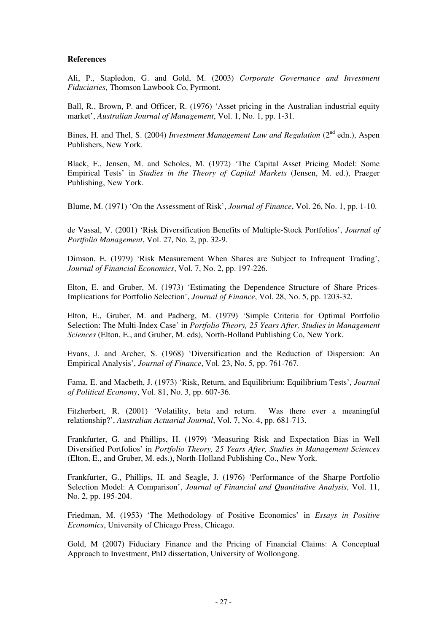# **References**

Ali, P., Stapledon, G. and Gold, M. (2003) *Corporate Governance and Investment Fiduciaries*, Thomson Lawbook Co, Pyrmont.

Ball, R., Brown, P. and Officer, R. (1976) 'Asset pricing in the Australian industrial equity market', *Australian Journal of Management*, Vol. 1, No. 1, pp. 1-31.

Bines, H. and Thel, S. (2004) *Investment Management Law and Regulation* (2nd edn.), Aspen Publishers, New York.

Black, F., Jensen, M. and Scholes, M. (1972) 'The Capital Asset Pricing Model: Some Empirical Tests' in *Studies in the Theory of Capital Markets* (Jensen, M. ed.), Praeger Publishing, New York.

Blume, M. (1971) 'On the Assessment of Risk', *Journal of Finance*, Vol. 26, No. 1, pp. 1-10.

de Vassal, V. (2001) 'Risk Diversification Benefits of Multiple-Stock Portfolios', *Journal of Portfolio Management*, Vol. 27, No. 2, pp. 32-9.

Dimson, E. (1979) 'Risk Measurement When Shares are Subject to Infrequent Trading', *Journal of Financial Economics*, Vol. 7, No. 2, pp. 197-226.

Elton, E. and Gruber, M. (1973) 'Estimating the Dependence Structure of Share Prices-Implications for Portfolio Selection', *Journal of Finance*, Vol. 28, No. 5, pp. 1203-32.

Elton, E., Gruber, M. and Padberg, M. (1979) 'Simple Criteria for Optimal Portfolio Selection: The Multi-Index Case' in *Portfolio Theory, 25 Years After, Studies in Management Sciences* (Elton, E., and Gruber, M. eds), North-Holland Publishing Co, New York.

Evans, J. and Archer, S. (1968) 'Diversification and the Reduction of Dispersion: An Empirical Analysis', *Journal of Finance*, Vol. 23, No. 5, pp. 761-767.

Fama, E. and Macbeth, J. (1973) 'Risk, Return, and Equilibrium: Equilibrium Tests', *Journal of Political Economy*, Vol. 81, No. 3, pp. 607-36.

Fitzherbert, R. (2001) 'Volatility, beta and return. Was there ever a meaningful relationship?', *Australian Actuarial Journal*, Vol. 7, No. 4, pp. 681-713.

Frankfurter, G. and Phillips, H. (1979) 'Measuring Risk and Expectation Bias in Well Diversified Portfolios' in *Portfolio Theory, 25 Years After, Studies in Management Sciences*  (Elton, E., and Gruber, M. eds.), North-Holland Publishing Co., New York.

Frankfurter, G., Phillips, H. and Seagle, J. (1976) 'Performance of the Sharpe Portfolio Selection Model: A Comparison', *Journal of Financial and Quantitative Analysis*, Vol. 11, No. 2, pp. 195-204.

Friedman, M. (1953) 'The Methodology of Positive Economics' in *Essays in Positive Economics*, University of Chicago Press, Chicago.

Gold, M (2007) Fiduciary Finance and the Pricing of Financial Claims: A Conceptual Approach to Investment, PhD dissertation, University of Wollongong.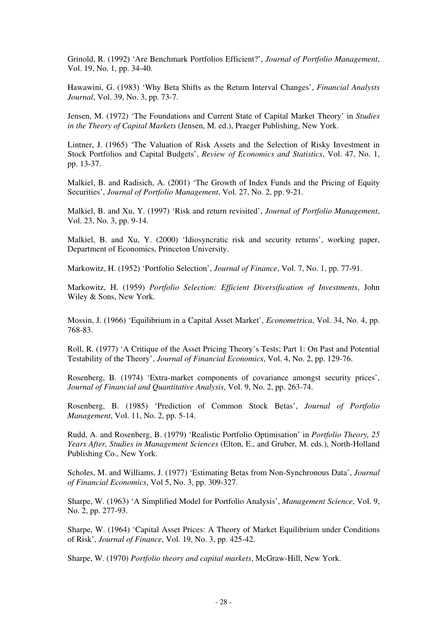Grinold, R. (1992) 'Are Benchmark Portfolios Efficient?', *Journal of Portfolio Management*, Vol. 19, No. 1, pp. 34-40.

Hawawini, G. (1983) 'Why Beta Shifts as the Return Interval Changes', *Financial Analysts Journal*, Vol. 39, No. 3, pp. 73-7.

Jensen, M. (1972) 'The Foundations and Current State of Capital Market Theory' in *Studies in the Theory of Capital Markets* (Jensen, M. ed.), Praeger Publishing, New York.

Lintner, J. (1965) 'The Valuation of Risk Assets and the Selection of Risky Investment in Stock Portfolios and Capital Budgets', *Review of Economics and Statistics*, Vol. 47, No. 1, pp. 13-37.

Malkiel, B. and Radisich, A. (2001) 'The Growth of Index Funds and the Pricing of Equity Securities', *Journal of Portfolio Management*, Vol. 27, No. 2, pp. 9-21.

Malkiel, B. and Xu, Y. (1997) 'Risk and return revisited', *Journal of Portfolio Management*, Vol. 23, No. 3, pp. 9-14.

Malkiel, B. and Xu, Y. (2000) 'Idiosyncratic risk and security returns', working paper, Department of Economics, Princeton University.

Markowitz, H. (1952) 'Portfolio Selection', *Journal of Finance*, Vol. 7, No. 1, pp. 77-91.

Markowitz, H. (1959) *Portfolio Selection: Efficient Diversification of Investments*, John Wiley & Sons, New York.

Mossin, J. (1966) 'Equilibrium in a Capital Asset Market', *Econometrica*, Vol. 34, No. 4, pp. 768-83.

Roll, R. (1977) 'A Critique of the Asset Pricing Theory's Tests; Part 1: On Past and Potential Testability of the Theory', *Journal of Financial Economics*, Vol. 4, No. 2, pp. 129-76.

Rosenberg, B. (1974) 'Extra-market components of covariance amongst security prices', *Journal of Financial and Quantitative Analysis*, Vol. 9, No. 2, pp. 263-74.

Rosenberg, B. (1985) 'Prediction of Common Stock Betas', *Journal of Portfolio Management*, Vol. 11, No. 2, pp. 5-14.

Rudd, A. and Rosenberg, B. (1979) 'Realistic Portfolio Optimisation' in *Portfolio Theory, 25 Years After, Studies in Management Sciences* (Elton, E., and Gruber, M. eds.), North-Holland Publishing Co., New York.

Scholes, M. and Williams, J. (1977) 'Estimating Betas from Non-Synchronous Data', *Journal of Financial Economics*, Vol 5, No. 3, pp. 309-327.

Sharpe, W. (1963) 'A Simplified Model for Portfolio Analysis', *Management Science*, Vol. 9, No. 2, pp. 277-93.

Sharpe, W. (1964) 'Capital Asset Prices: A Theory of Market Equilibrium under Conditions of Risk', *Journal of Finance*, Vol. 19, No. 3, pp. 425-42.

Sharpe, W. (1970) *Portfolio theory and capital markets*, McGraw-Hill, New York.